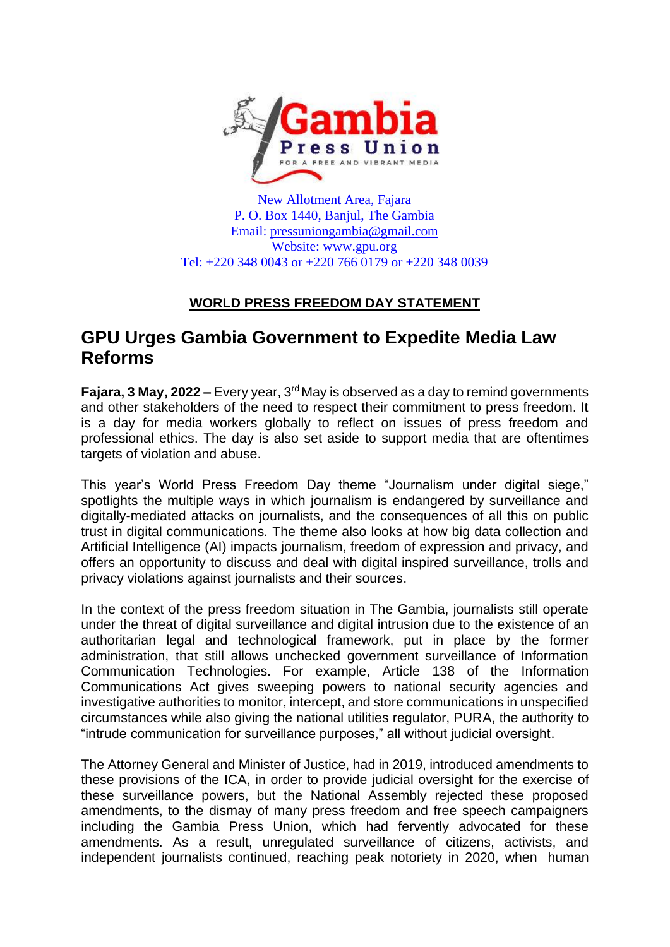

New Allotment Area, Fajara P. O. Box 1440, Banjul, The Gambia Email: [pressuniongambia@gmail.com](mailto:pressuniongambia@gmail.com) Website: [www.gpu.org](http://www.gpu.org/) Tel: +220 348 0043 or +220 766 0179 or +220 348 0039

## **WORLD PRESS FREEDOM DAY STATEMENT**

## **GPU Urges Gambia Government to Expedite Media Law Reforms**

**Fajara, 3 May, 2022 –** Every year, 3<sup>rd</sup> May is observed as a day to remind governments and other stakeholders of the need to respect their commitment to press freedom. It is a day for media workers globally to reflect on issues of press freedom and professional ethics. The day is also set aside to support media that are oftentimes targets of violation and abuse.

This year's World Press Freedom Day theme "Journalism under digital siege," spotlights the multiple ways in which journalism is endangered by surveillance and digitally-mediated attacks on journalists, and the consequences of all this on public trust in digital communications. The theme also looks at how big data collection and Artificial Intelligence (AI) impacts journalism, freedom of expression and privacy, and offers an opportunity to discuss and deal with digital inspired surveillance, trolls and privacy violations against journalists and their sources.

In the context of the press freedom situation in The Gambia, journalists still operate under the threat of digital surveillance and digital intrusion due to the existence of an authoritarian legal and technological framework, put in place by the former administration, that still allows unchecked government surveillance of Information Communication Technologies. For example, Article 138 of the Information Communications Act gives sweeping powers to national security agencies and investigative authorities to monitor, intercept, and store communications in unspecified circumstances while also giving the national utilities regulator, PURA, the authority to "intrude communication for surveillance purposes," all without judicial oversight.

The Attorney General and Minister of Justice, had in 2019, introduced amendments to these provisions of the ICA, in order to provide judicial oversight for the exercise of these surveillance powers, but the National Assembly rejected these proposed amendments, to the dismay of many press freedom and free speech campaigners including the Gambia Press Union, which had fervently advocated for these amendments. As a result, unregulated surveillance of citizens, activists, and independent journalists continued, reaching peak notoriety in 2020, when human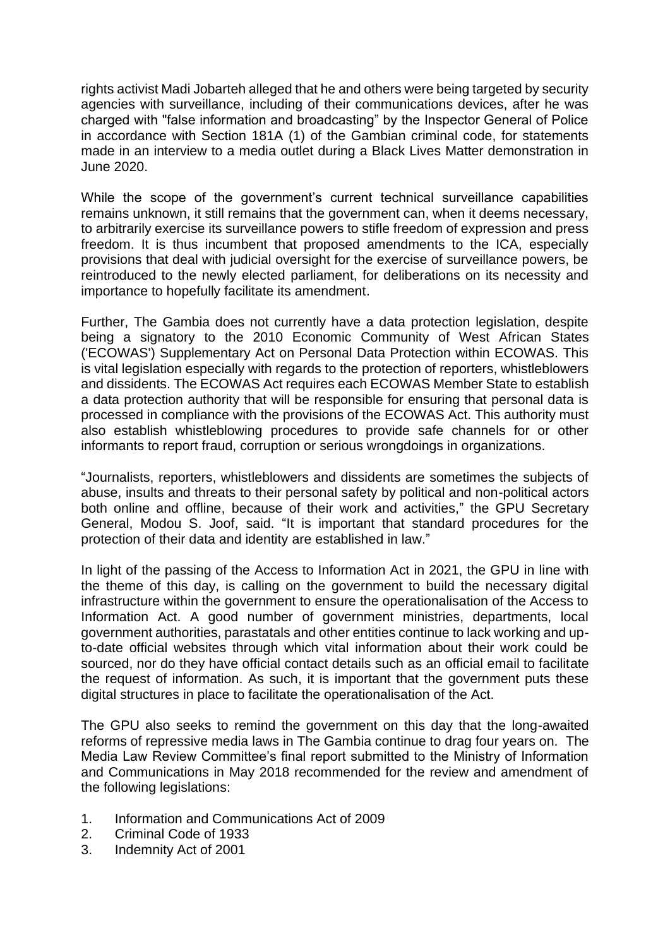rights activist Madi Jobarteh alleged that he and others were being targeted by security agencies with surveillance, including of their communications devices, after he was charged with "false information and broadcasting" by the Inspector General of Police in accordance with Section 181A (1) of the Gambian criminal code, for statements made in an interview to a media outlet during a Black Lives Matter demonstration in June 2020.

While the scope of the government's current technical surveillance capabilities remains unknown, it still remains that the government can, when it deems necessary, to arbitrarily exercise its surveillance powers to stifle freedom of expression and press freedom. It is thus incumbent that proposed amendments to the ICA, especially provisions that deal with judicial oversight for the exercise of surveillance powers, be reintroduced to the newly elected parliament, for deliberations on its necessity and importance to hopefully facilitate its amendment.

Further, The Gambia does not currently have a data protection legislation, despite being a signatory to the 2010 Economic Community of West African States ('ECOWAS') Supplementary Act on Personal Data Protection within ECOWAS. This is vital legislation especially with regards to the protection of reporters, whistleblowers and dissidents. The ECOWAS Act requires each ECOWAS Member State to establish a data protection authority that will be responsible for ensuring that personal data is processed in compliance with the provisions of the ECOWAS Act. This authority must also establish whistleblowing procedures to provide safe channels for or other informants to report fraud, corruption or serious wrongdoings in organizations.

"Journalists, reporters, whistleblowers and dissidents are sometimes the subjects of abuse, insults and threats to their personal safety by political and non-political actors both online and offline, because of their work and activities," the GPU Secretary General, Modou S. Joof, said. "It is important that standard procedures for the protection of their data and identity are established in law."

In light of the passing of the Access to Information Act in 2021, the GPU in line with the theme of this day, is calling on the government to build the necessary digital infrastructure within the government to ensure the operationalisation of the Access to Information Act. A good number of government ministries, departments, local government authorities, parastatals and other entities continue to lack working and upto-date official websites through which vital information about their work could be sourced, nor do they have official contact details such as an official email to facilitate the request of information. As such, it is important that the government puts these digital structures in place to facilitate the operationalisation of the Act.

The GPU also seeks to remind the government on this day that the long-awaited reforms of repressive media laws in The Gambia continue to drag four years on. The Media Law Review Committee's final report submitted to the Ministry of Information and Communications in May 2018 recommended for the review and amendment of the following legislations:

- 1. Information and Communications Act of 2009
- 2. Criminal Code of 1933
- 3. Indemnity Act of 2001